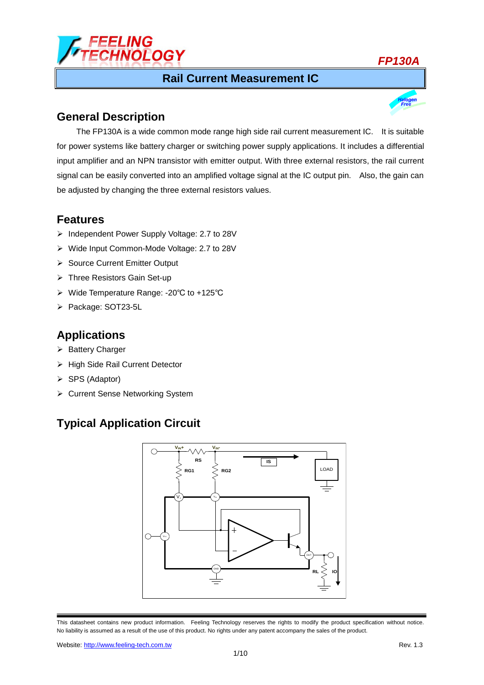

#### **Rail Current Measurement IC**



## **General Description**

The FP130A is a wide common mode range high side rail current measurement IC. It is suitable for power systems like battery charger or switching power supply applications. It includes a differential input amplifier and an NPN transistor with emitter output. With three external resistors, the rail current signal can be easily converted into an amplified voltage signal at the IC output pin. Also, the gain can be adjusted by changing the three external resistors values.

#### **Features**

- Independent Power Supply Voltage: 2.7 to 28V
- Wide Input Common-Mode Voltage: 2.7 to 28V
- Source Current Emitter Output
- ▶ Three Resistors Gain Set-up
- Wide Temperature Range: -20℃ to +125℃
- > Package: SOT23-5L

## **Applications**

- > Battery Charger
- > High Side Rail Current Detector
- $\triangleright$  SPS (Adaptor)
- ▶ Current Sense Networking System

# **Typical Application Circuit**



This datasheet contains new product information. Feeling Technology reserves the rights to modify the product specification without notice. No liability is assumed as a result of the use of this product. No rights under any patent accompany the sales of the product.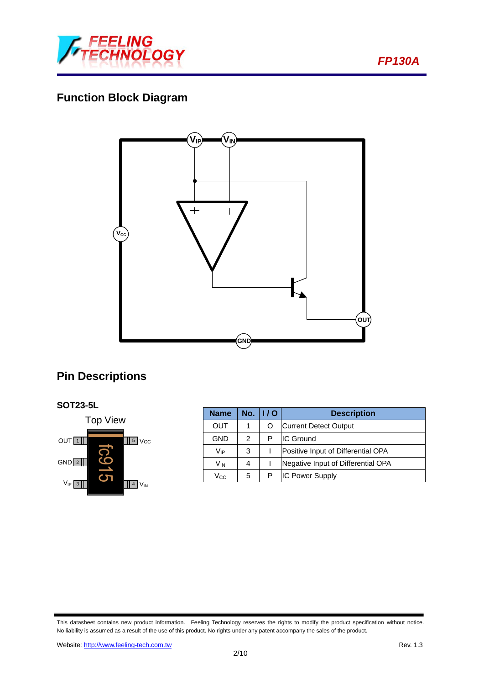

*FP130A*

# **Function Block Diagram**



# **Pin Descriptions**





| <b>Name</b>     |   | No. $  /0$ | <b>Description</b>                 |  |  |
|-----------------|---|------------|------------------------------------|--|--|
| OUT             | 1 | O          | <b>Current Detect Output</b>       |  |  |
| GND             | 2 | P          | <b>IC Ground</b>                   |  |  |
| V <sub>IP</sub> | 3 |            | Positive Input of Differential OPA |  |  |
| Vın             | 4 |            | Negative Input of Differential OPA |  |  |
| Vcc             | 5 |            | <b>IC Power Supply</b>             |  |  |

This datasheet contains new product information. Feeling Technology reserves the rights to modify the product specification without notice. No liability is assumed as a result of the use of this product. No rights under any patent accompany the sales of the product.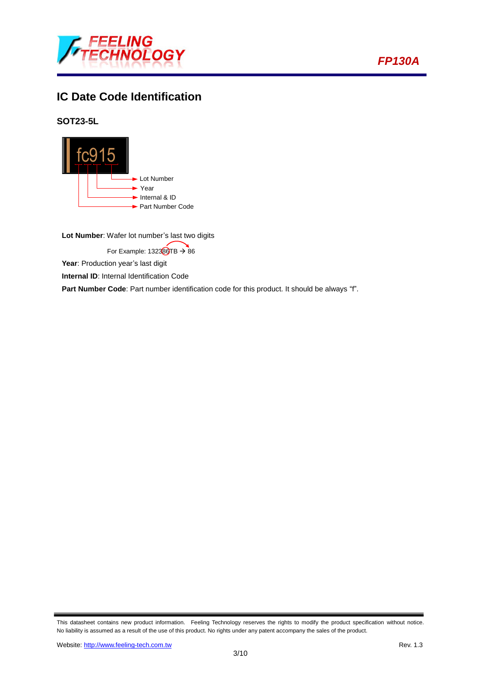



# **IC Date Code Identification**

**SOT23-5L**



**Lot Number**: Wafer lot number's last two digits

For Example:  $132369TB \rightarrow 86$ 

Year: Production year's last digit

**Internal ID:** Internal Identification Code

Part Number Code: Part number identification code for this product. It should be always "f".

This datasheet contains new product information. Feeling Technology reserves the rights to modify the product specification without notice. No liability is assumed as a result of the use of this product. No rights under any patent accompany the sales of the product.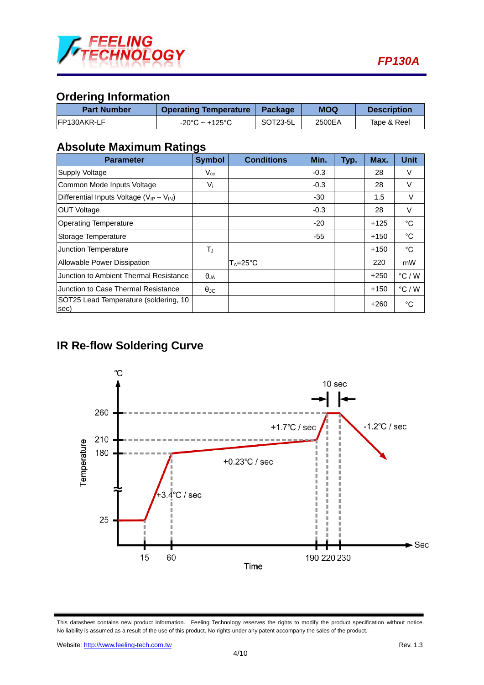

# **Ordering Information**

| <b>Part Number</b> | <b>Operating Temperature</b>        | <b>Package</b> | <b>MOQ</b> | <b>Description</b> |
|--------------------|-------------------------------------|----------------|------------|--------------------|
| IFP130AKR-LF       | $-20^{\circ}$ C ~ +125 $^{\circ}$ C | SOT23-5L       | 2500EA     | Tape & Reel        |

### **Absolute Maximum Ratings**

| <b>Parameter</b>                                  | <b>Symbol</b>     | <b>Conditions</b>   | Min.   | Typ. | Max.   | <b>Unit</b>     |
|---------------------------------------------------|-------------------|---------------------|--------|------|--------|-----------------|
| Supply Voltage                                    | $V_{cc}$          |                     | $-0.3$ |      | 28     | V               |
| Common Mode Inputs Voltage                        | $V_i$             |                     | $-0.3$ |      | 28     | V               |
| Differential Inputs Voltage ( $V_{IP} - V_{IN}$ ) |                   |                     | -30    |      | 1.5    | V               |
| <b>OUT Voltage</b>                                |                   |                     | $-0.3$ |      | 28     | V               |
| <b>Operating Temperature</b>                      |                   |                     | $-20$  |      | $+125$ | $^{\circ}$ C    |
| Storage Temperature                               |                   |                     | $-55$  |      | $+150$ | $^{\circ}$ C    |
| <b>Junction Temperature</b>                       | $T_J$             |                     |        |      | $+150$ | $^{\circ}$ C    |
| Allowable Power Dissipation                       |                   | $T_A = 25^{\circ}C$ |        |      | 220    | mW              |
| Junction to Ambient Thermal Resistance            | $\theta$ JA       |                     |        |      | $+250$ | $\degree$ C / W |
| Junction to Case Thermal Resistance               | $\theta_{\rm JC}$ |                     |        |      | $+150$ | °C/W            |
| SOT25 Lead Temperature (soldering, 10<br>sec)     |                   |                     |        |      | $+260$ | $^{\circ}$ C    |

# **IR Re-flow Soldering Curve**



This datasheet contains new product information. Feeling Technology reserves the rights to modify the product specification without notice. No liability is assumed as a result of the use of this product. No rights under any patent accompany the sales of the product.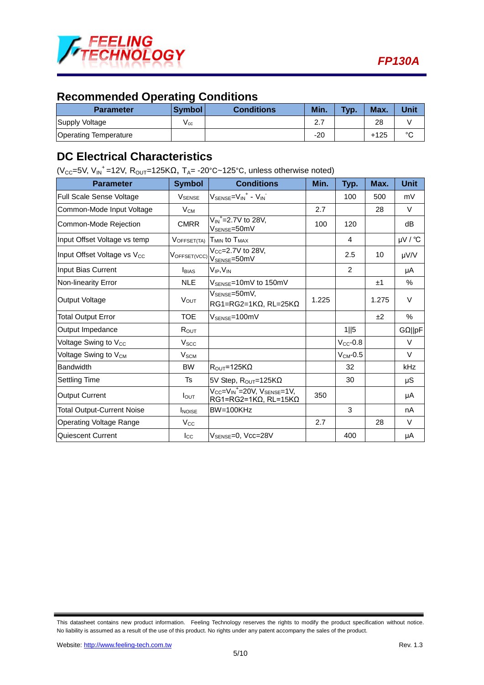

## **Recommended Operating Conditions**

| <b>Parameter</b>             | <b>Symbol</b> | <b>Conditions</b> | Min.                      | Typ. | Max.   | Unit   |
|------------------------------|---------------|-------------------|---------------------------|------|--------|--------|
| Supply Voltage               | V cc          |                   | $\sim$ $\sim$<br><u>.</u> |      | 28     |        |
| <b>Operating Temperature</b> |               |                   | $-20$                     |      | $+125$ | $\sim$ |

### **DC Electrical Characteristics**

(V<sub>CC</sub>=5V, V<sub>IN</sub><sup>+</sup>=12V, R<sub>OUT</sub>=125K $\Omega$ , T<sub>A</sub>=-20°C~125°C, unless otherwise noted)

| <b>Parameter</b>                        | <b>Symbol</b>           | <b>Conditions</b>                                                                          | Min.  | Typ.          | Max.  | <b>Unit</b> |
|-----------------------------------------|-------------------------|--------------------------------------------------------------------------------------------|-------|---------------|-------|-------------|
| Full Scale Sense Voltage                | <b>V</b> SENSE          | $V_{\text{SENSE}} = V_{\text{IN}}^+ - V_{\text{IN}}^-$                                     |       | 100           | 500   | mV          |
| Common-Mode Input Voltage               | $V_{CM}$                |                                                                                            | 2.7   |               | 28    | V           |
| Common-Mode Rejection                   | <b>CMRR</b>             | $V_{\text{IN}}^{\text{+}}$ =2.7V to 28V,<br>V <sub>SENSE</sub> =50mV                       | 100   | 120           |       | dB          |
| Input Offset Voltage vs temp            | VOFFSET(TA)             | T <sub>MIN</sub> to T <sub>MAX</sub>                                                       |       | 4             |       | µV / °C     |
| Input Offset Voltage vs V <sub>cc</sub> | VOFFSET(VCC)            | $V_{CC} = 2.7V$ to 28V,<br>V <sub>SENSE</sub> =50mV                                        |       | 2.5           | 10    | µV/V        |
| Input Bias Current                      | <b>BIAS</b>             | V <sub>IP</sub> ,V <sub>IN</sub>                                                           |       | 2             |       | μA          |
| Non-linearity Error                     | <b>NLE</b>              | V <sub>SENSE</sub> =10mV to 150mV                                                          |       |               | ±1    | %           |
| Output Voltage                          | <b>V</b> <sub>OUT</sub> | V <sub>SENSE</sub> =50mV,<br>$RG1 = RG2 = 1K\Omega$ , RL=25K $\Omega$                      | 1.225 |               | 1.275 | V           |
| <b>Total Output Error</b>               | <b>TOE</b>              | $V_{\rm SFNSF}$ =100mV                                                                     |       |               | ±2    | %           |
| Output Impedance                        | $R_{OUT}$               |                                                                                            |       | 1  5          |       | GQ  pF      |
| Voltage Swing to V <sub>CC</sub>        | V <sub>SCC</sub>        |                                                                                            |       | $V_{CC}$ -0.8 |       | V           |
| Voltage Swing to V <sub>CM</sub>        | <b>V<sub>SCM</sub></b>  |                                                                                            |       | $V_{CM}$ -0.5 |       | V           |
| <b>Bandwidth</b>                        | <b>BW</b>               | $R_{\text{OUT}} = 125 \text{K} \Omega$                                                     |       | 32            |       | kHz         |
| <b>Settling Time</b>                    | Ts                      | 5V Step, R <sub>OUT</sub> =125KΩ                                                           |       | 30            |       | $\mu$ S     |
| <b>Output Current</b>                   | $I_{\text{OUT}}$        | $V_{CC} = V_{IN}^+ = 20V$ , $V_{SENSE} = 1V$ ,<br>$RG1 = RG2 = 1K\Omega$ , RL=15K $\Omega$ | 350   |               |       | μA          |
| <b>Total Output-Current Noise</b>       | <b>INOISE</b>           | BW=100KHz                                                                                  |       | 3             |       | nA          |
| Operating Voltage Range                 | $V_{\rm CC}$            |                                                                                            | 2.7   |               | 28    | $\vee$      |
| Quiescent Current                       | $I_{\rm CC}$            | V <sub>SENSE</sub> =0, Vcc=28V                                                             |       | 400           |       | μA          |

This datasheet contains new product information. Feeling Technology reserves the rights to modify the product specification without notice. No liability is assumed as a result of the use of this product. No rights under any patent accompany the sales of the product.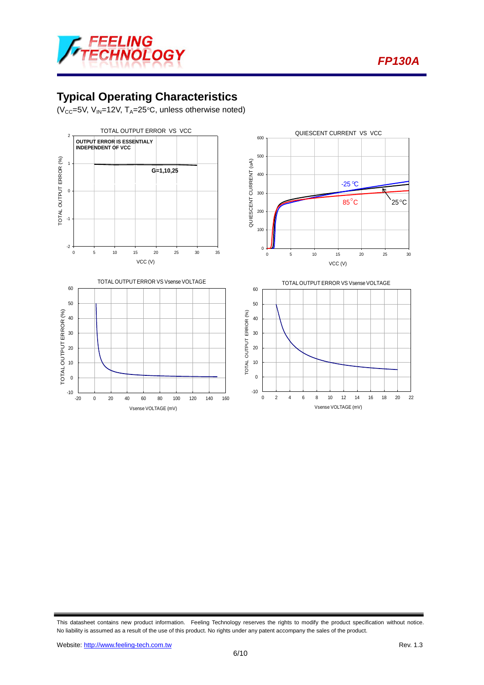



# **Typical Operating Characteristics**

 $(V_{CC}=5V, V_{IN}=12V, T_A=25^{\circ}C,$  unless otherwise noted)



This datasheet contains new product information. Feeling Technology reserves the rights to modify the product specification without notice. No liability is assumed as a result of the use of this product. No rights under any patent accompany the sales of the product.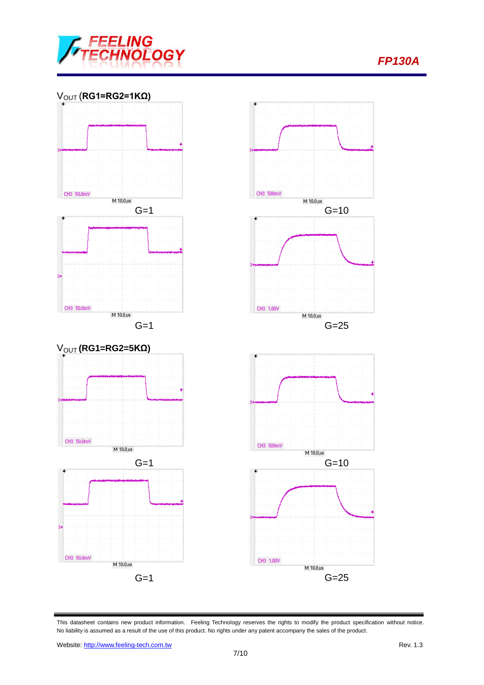

## *FP130A*



This datasheet contains new product information. Feeling Technology reserves the rights to modify the product specification without notice. No liability is assumed as a result of the use of this product. No rights under any patent accompany the sales of the product.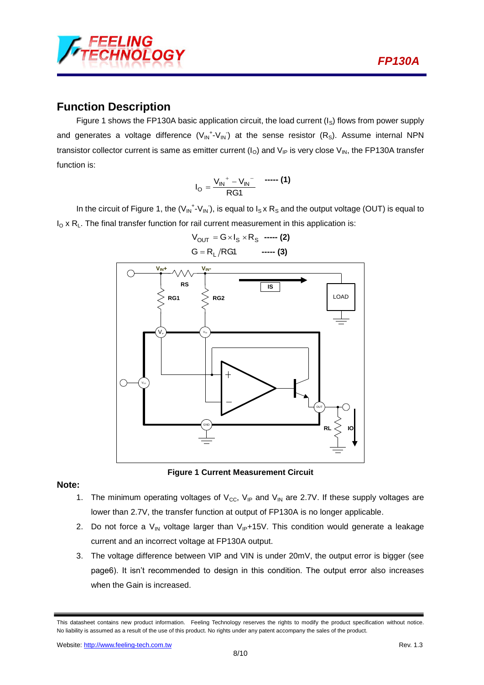

#### **Function Description**

Figure 1 shows the FP130A basic application circuit, the load current  $(I<sub>S</sub>)$  flows from power supply and generates a voltage difference  $(V_{IN}^+ \cdot V_{IN})$  at the sense resistor (R<sub>S</sub>). Assume internal NPN transistor collector current is same as emitter current  $(I<sub>O</sub>)$  and  $V<sub>IP</sub>$  is very close  $V<sub>IN</sub>$ , the FP130A transfer function is:

$$
I_{\rm O} = \frac{V_{\rm IN}^+ - V_{\rm IN}^-}{\rm RG1} \quad \text{--- (1)}
$$

In the circuit of Figure 1, the  $(V_{IN}^+ - V_{IN})$ , is equal to  $I_S \times R_S$  and the output voltage (OUT) is equal to  $I_0$  x R<sub>L</sub>. The final transfer function for rail current measurement in this application is:





**Figure 1 Current Measurement Circuit** 

#### **Note:**

- 1. The minimum operating voltages of  $V_{CC}$ ,  $V_{IP}$  and  $V_{IN}$  are 2.7V. If these supply voltages are lower than 2.7V, the transfer function at output of FP130A is no longer applicable.
- 2. Do not force a  $V_{IN}$  voltage larger than  $V_{IP}+15V$ . This condition would generate a leakage current and an incorrect voltage at FP130A output.
- 3. The voltage difference between VIP and VIN is under 20mV, the output error is bigger (see page6). It isn't recommended to design in this condition. The output error also increases when the Gain is increased.

This datasheet contains new product information. Feeling Technology reserves the rights to modify the product specification without notice. No liability is assumed as a result of the use of this product. No rights under any patent accompany the sales of the product.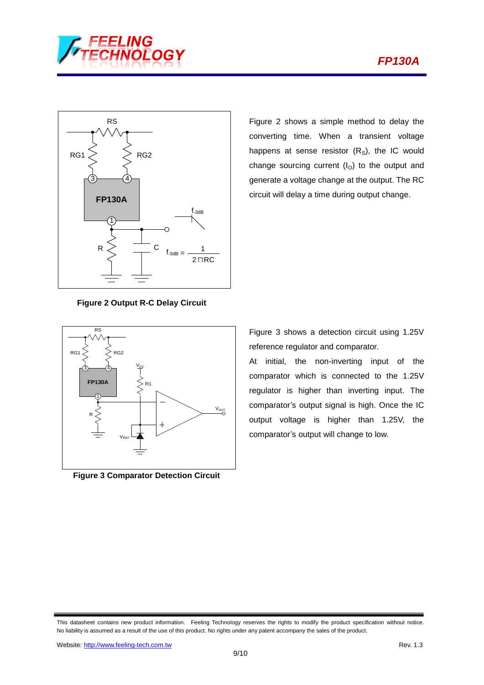



RS Figure 2 shows a simple method to delay the converting time. When a transient voltage happens at sense resistor  $(R<sub>S</sub>)$ , the IC would change sourcing current  $(I<sub>O</sub>)$  to the output and generate a voltage change at the output. The RC circuit will delay a time during output change.

**Figure 2 Output R-C Delay Circuit**



**Figure 3 Comparator Detection Circuit** 

Figure 3 shows a detection circuit using 1.25V reference regulator and comparator.

At initial, the non-inverting input of the comparator which is connected to the 1.25V regulator is higher than inverting input. The comparator's output signal is high. Once the IC output voltage is higher than 1.25V, the comparator's output will change to low.

This datasheet contains new product information. Feeling Technology reserves the rights to modify the product specification without notice. No liability is assumed as a result of the use of this product. No rights under any patent accompany the sales of the product.